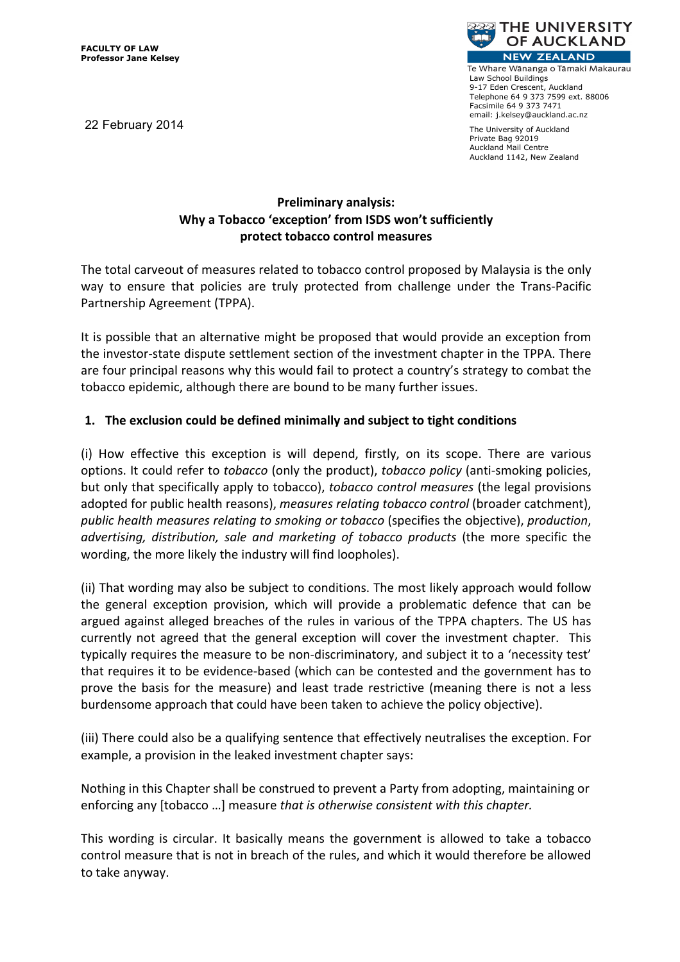22 February 2014



Te Whare Wānanga o Tāmaki Makaurau Law School Buildings 9-17 Eden Crescent, Auckland Telephone 64 9 373 7599 ext. 88006 Facsimile 64 9 373 7471 email: i.kelsev@auckland.ac.nz

The University of Auckland Private Bag 92019 Auckland Mail Centre Auckland 1142, New Zealand

# **Preliminary analysis:** Why a Tobacco 'exception' from ISDS won't sufficiently protect tobacco control measures

The total carveout of measures related to tobacco control proposed by Malaysia is the only way to ensure that policies are truly protected from challenge under the Trans-Pacific Partnership Agreement (TPPA).

It is possible that an alternative might be proposed that would provide an exception from the investor-state dispute settlement section of the investment chapter in the TPPA. There are four principal reasons why this would fail to protect a country's strategy to combat the tobacco epidemic, although there are bound to be many further issues.

# 1. The exclusion could be defined minimally and subject to tight conditions

(i) How effective this exception is will depend, firstly, on its scope. There are various options. It could refer to *tobacco* (only the product), *tobacco policy* (anti-smoking policies, but only that specifically apply to tobacco), tobacco control measures (the legal provisions adopted for public health reasons), measures relating tobacco control (broader catchment), public health measures relating to smoking or tobacco (specifies the objective), production, advertising, distribution, sale and marketing of tobacco products (the more specific the wording, the more likely the industry will find loopholes).

(ii) That wording may also be subject to conditions. The most likely approach would follow the general exception provision, which will provide a problematic defence that can be argued against alleged breaches of the rules in various of the TPPA chapters. The US has currently not agreed that the general exception will cover the investment chapter. This typically requires the measure to be non-discriminatory, and subject it to a 'necessity test' that requires it to be evidence-based (which can be contested and the government has to prove the basis for the measure) and least trade restrictive (meaning there is not a less burdensome approach that could have been taken to achieve the policy objective).

(iii) There could also be a qualifying sentence that effectively neutralises the exception. For example, a provision in the leaked investment chapter says:

Nothing in this Chapter shall be construed to prevent a Party from adopting, maintaining or enforcing any [tobacco ...] measure that is otherwise consistent with this chapter.

This wording is circular. It basically means the government is allowed to take a tobacco control measure that is not in breach of the rules, and which it would therefore be allowed to take anyway.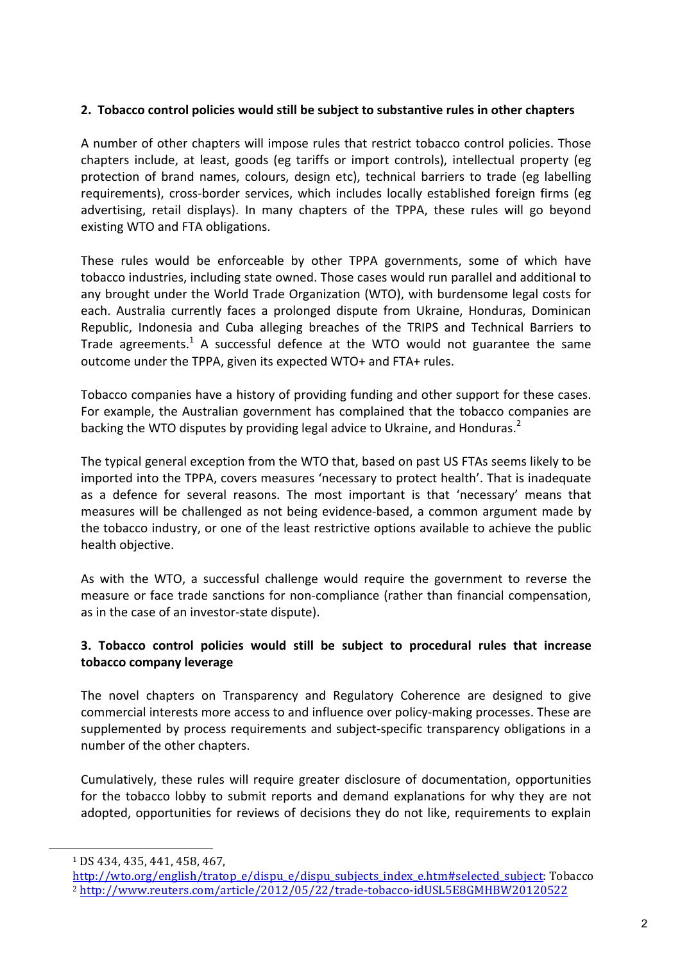### 2. Tobacco control policies would still be subject to substantive rules in other chapters

A number of other chapters will impose rules that restrict tobacco control policies. Those chapters include, at least, goods (eg tariffs or import controls), intellectual property (eg protection of brand names, colours, design etc), technical barriers to trade (eg labelling requirements), cross-border services, which includes locally established foreign firms (eg advertising, retail displays). In many chapters of the TPPA, these rules will go beyond existing WTO and FTA obligations.

These rules would be enforceable by other TPPA governments, some of which have tobacco industries, including state owned. Those cases would run parallel and additional to any brought under the World Trade Organization (WTO), with burdensome legal costs for each. Australia currently faces a prolonged dispute from Ukraine, Honduras, Dominican Republic, Indonesia and Cuba alleging breaches of the TRIPS and Technical Barriers to Trade agreements.<sup>1</sup> A successful defence at the WTO would not guarantee the same outcome under the TPPA, given its expected WTO+ and FTA+ rules.

Tobacco companies have a history of providing funding and other support for these cases. For example, the Australian government has complained that the tobacco companies are backing the WTO disputes by providing legal advice to Ukraine, and Honduras.<sup>2</sup>

The typical general exception from the WTO that, based on past US FTAs seems likely to be imported into the TPPA, covers measures 'necessary to protect health'. That is inadequate as a defence for several reasons. The most important is that 'necessary' means that measures will be challenged as not being evidence-based, a common argument made by the tobacco industry, or one of the least restrictive options available to achieve the public health objective.

As with the WTO, a successful challenge would require the government to reverse the measure or face trade sanctions for non-compliance (rather than financial compensation, as in the case of an investor-state dispute).

# 3. Tobacco control policies would still be subject to procedural rules that increase tobacco company leverage

The novel chapters on Transparency and Regulatory Coherence are designed to give commercial interests more access to and influence over policy-making processes. These are supplemented by process requirements and subject-specific transparency obligations in a number of the other chapters.

Cumulatively, these rules will require greater disclosure of documentation, opportunities for the tobacco lobby to submit reports and demand explanations for why they are not adopted, opportunities for reviews of decisions they do not like, requirements to explain

<sup>&</sup>lt;sup>1</sup> DS 434, 435, 441, 458, 467,

http://wto.org/english/tratop\_e/dispu\_e/dispu\_subjects\_index\_e.htm#selected\_subject:\_Tobacco <sup>2</sup> http://www.reuters.com/article/2012/05/22/trade-tobacco-idUSL5E8GMHBW20120522